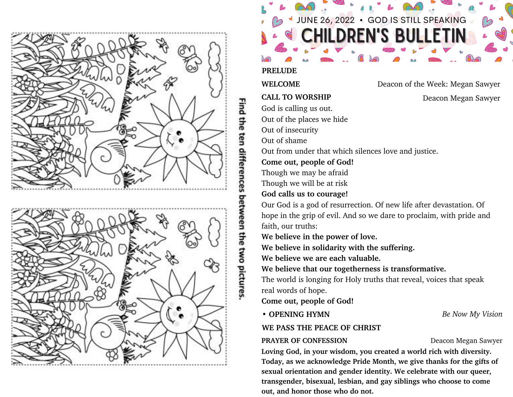

# Find the ten differences between the two pictures

**IILDREN'S BULLETIN** 

UNE 26, 2022 · GOD IS STILL SPEAKING

**PRELUDE**

WELCOME Deacon of the Week: Megan Sawyer

**CALL TO WORSHIP** Deacon Megan Sawyer

God is calling us out.

Out of the places we hide

Out of insecurity

Out of shame

Out from under that which silences love and justice.

**Come out, people of God!**

Though we may be afraid

Though we will be at risk

# **God calls us to courage!**

Our God is a god of resurrection. Of new life after devastation. Of hope in the grip of evil. And so we dare to proclaim, with pride and faith, our truths:

**We believe in the power of love.**

**We believe in solidarity with the suffering.**

**We believe we are each valuable.**

**We believe that our togetherness is transformative.**

The world is longing for Holy truths that reveal, voices that speak real words of hope.

**Come out, people of God!**

**• OPENING HYMN** *Be Now My Vision*

# **WE PASS THE PEACE OF CHRIST**

# **PRAYER OF CONFESSION** Deacon Megan Sawyer

**Loving God, in your wisdom, you created a world rich with diversity. Today, as we acknowledge Pride Month, we give thanks for the gifts of sexual orientation and gender identity. We celebrate with our queer, transgender, bisexual, lesbian, and gay siblings who choose to come out, and honor those who do not.**